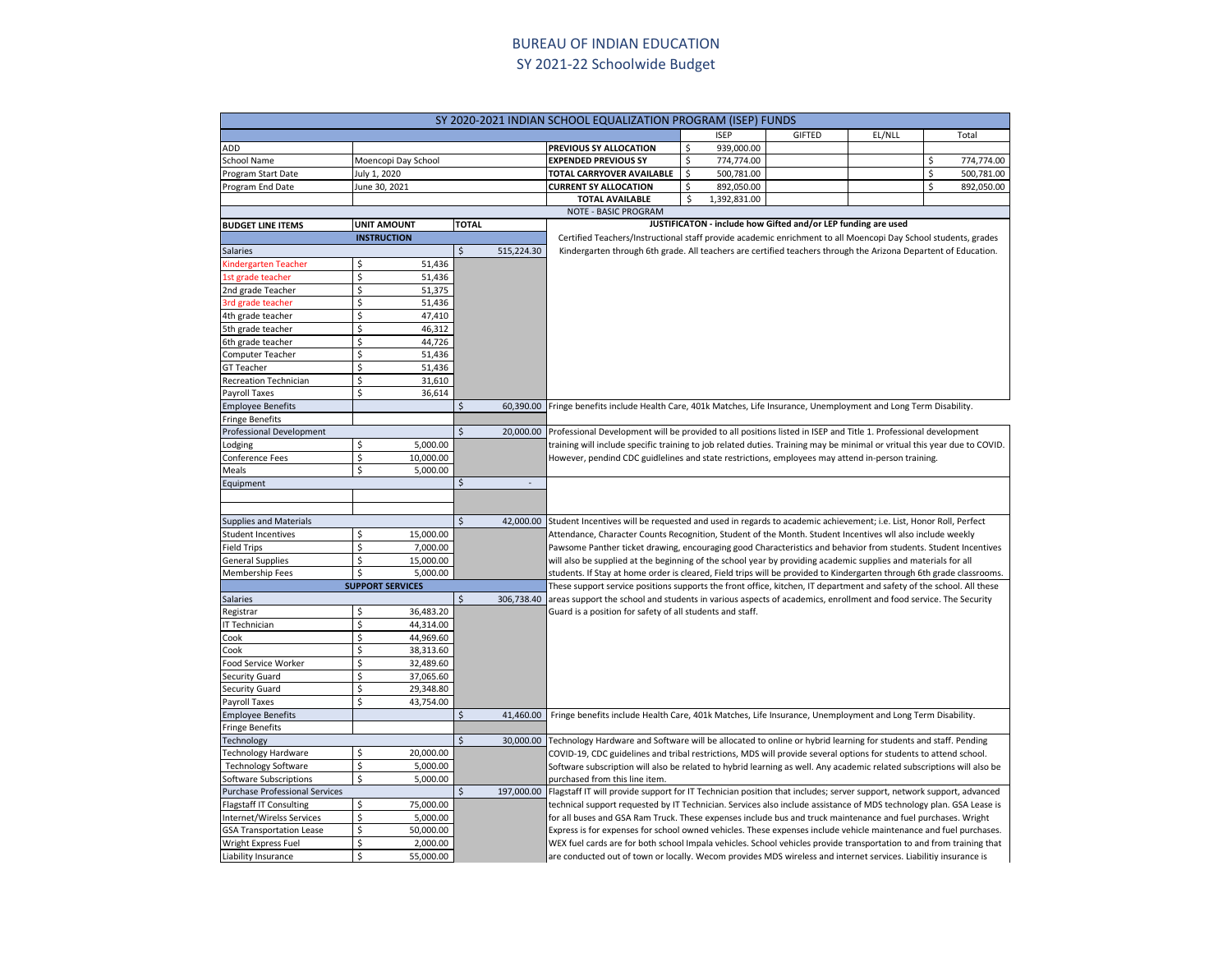## BUREAU OF INDIAN EDUCATION SY 2021-22 Schoolwide Budget

| SY 2020-2021 INDIAN SCHOOL EQUALIZATION PROGRAM (ISEP) FUNDS |                         |                                      |                                                                                                                                                                                                                                             |                                                                                                                       |              |                                                               |        |    |            |  |  |
|--------------------------------------------------------------|-------------------------|--------------------------------------|---------------------------------------------------------------------------------------------------------------------------------------------------------------------------------------------------------------------------------------------|-----------------------------------------------------------------------------------------------------------------------|--------------|---------------------------------------------------------------|--------|----|------------|--|--|
|                                                              |                         |                                      |                                                                                                                                                                                                                                             |                                                                                                                       | <b>ISEP</b>  | <b>GIFTED</b>                                                 | EL/NLL |    | Total      |  |  |
| ADD                                                          |                         |                                      | PREVIOUS SY ALLOCATION                                                                                                                                                                                                                      | \$                                                                                                                    | 939,000.00   |                                                               |        |    |            |  |  |
| School Name                                                  | Moencopi Day School     |                                      | <b>EXPENDED PREVIOUS SY</b>                                                                                                                                                                                                                 | \$                                                                                                                    | 774,774.00   |                                                               |        | \$ | 774,774.00 |  |  |
| Program Start Date                                           | July 1, 2020            |                                      | TOTAL CARRYOVER AVAILABLE                                                                                                                                                                                                                   | \$                                                                                                                    | 500,781.00   |                                                               |        | \$ | 500,781.00 |  |  |
| Program End Date                                             | June 30, 2021           |                                      | <b>CURRENT SY ALLOCATION</b>                                                                                                                                                                                                                | \$                                                                                                                    | 892,050.00   |                                                               |        | \$ | 892,050.00 |  |  |
|                                                              |                         |                                      | <b>TOTAL AVAILABLE</b>                                                                                                                                                                                                                      | Ś                                                                                                                     | 1,392,831.00 |                                                               |        |    |            |  |  |
|                                                              |                         |                                      | NOTE - BASIC PROGRAM                                                                                                                                                                                                                        |                                                                                                                       |              |                                                               |        |    |            |  |  |
| <b>BUDGET LINE ITEMS</b>                                     | <b>UNIT AMOUNT</b>      | <b>TOTAL</b>                         |                                                                                                                                                                                                                                             |                                                                                                                       |              | JUSTIFICATON - include how Gifted and/or LEP funding are used |        |    |            |  |  |
|                                                              | <b>INSTRUCTION</b>      |                                      | Certified Teachers/Instructional staff provide academic enrichment to all Moencopi Day School students, grades                                                                                                                              |                                                                                                                       |              |                                                               |        |    |            |  |  |
| Salaries                                                     |                         | \$<br>515,224.30                     | Kindergarten through 6th grade. All teachers are certified teachers through the Arizona Departent of Education.                                                                                                                             |                                                                                                                       |              |                                                               |        |    |            |  |  |
| Kindergarten Teacher                                         | 51,436<br>\$            |                                      |                                                                                                                                                                                                                                             |                                                                                                                       |              |                                                               |        |    |            |  |  |
| 1st grade teacher                                            | Ś<br>51,436             |                                      |                                                                                                                                                                                                                                             |                                                                                                                       |              |                                                               |        |    |            |  |  |
| 2nd grade Teacher                                            | Ś<br>51,375             |                                      |                                                                                                                                                                                                                                             |                                                                                                                       |              |                                                               |        |    |            |  |  |
| 3rd grade teacher                                            | Ś<br>51,436             |                                      |                                                                                                                                                                                                                                             |                                                                                                                       |              |                                                               |        |    |            |  |  |
| 4th grade teacher                                            | Ś<br>47,410             |                                      |                                                                                                                                                                                                                                             |                                                                                                                       |              |                                                               |        |    |            |  |  |
| 5th grade teacher                                            | \$<br>46,312            |                                      |                                                                                                                                                                                                                                             |                                                                                                                       |              |                                                               |        |    |            |  |  |
| 6th grade teacher                                            | Ś<br>44,726             |                                      |                                                                                                                                                                                                                                             |                                                                                                                       |              |                                                               |        |    |            |  |  |
| Computer Teacher                                             | \$<br>51,436            |                                      |                                                                                                                                                                                                                                             |                                                                                                                       |              |                                                               |        |    |            |  |  |
| <b>GT Teacher</b>                                            | Ś<br>51,436             |                                      |                                                                                                                                                                                                                                             |                                                                                                                       |              |                                                               |        |    |            |  |  |
| Recreation Technician                                        | Ś<br>31,610             |                                      |                                                                                                                                                                                                                                             |                                                                                                                       |              |                                                               |        |    |            |  |  |
| Payroll Taxes                                                | Ś<br>36,614             |                                      |                                                                                                                                                                                                                                             |                                                                                                                       |              |                                                               |        |    |            |  |  |
| <b>Employee Benefits</b>                                     |                         | \$                                   | 60,390.00 Fringe benefits include Health Care, 401k Matches, Life Insurance, Unemployment and Long Term Disability.                                                                                                                         |                                                                                                                       |              |                                                               |        |    |            |  |  |
| <b>Fringe Benefits</b>                                       |                         |                                      |                                                                                                                                                                                                                                             |                                                                                                                       |              |                                                               |        |    |            |  |  |
| Professional Development                                     |                         |                                      | 20,000.00 Professional Development will be provided to all positions listed in ISEP and Title 1. Professional development                                                                                                                   |                                                                                                                       |              |                                                               |        |    |            |  |  |
| Lodging                                                      | 5,000.00<br>Ś           |                                      | training will include specific training to job related duties. Training may be minimal or vritual this year due to COVID.                                                                                                                   |                                                                                                                       |              |                                                               |        |    |            |  |  |
| Conference Fees                                              | \$<br>10,000.00         |                                      | However, pendind CDC guidlelines and state restrictions, employees may attend in-person training.                                                                                                                                           |                                                                                                                       |              |                                                               |        |    |            |  |  |
| Meals                                                        | 5,000.00<br>\$          |                                      |                                                                                                                                                                                                                                             |                                                                                                                       |              |                                                               |        |    |            |  |  |
| Equipment                                                    |                         | Ś                                    |                                                                                                                                                                                                                                             |                                                                                                                       |              |                                                               |        |    |            |  |  |
|                                                              |                         |                                      |                                                                                                                                                                                                                                             |                                                                                                                       |              |                                                               |        |    |            |  |  |
|                                                              |                         |                                      |                                                                                                                                                                                                                                             |                                                                                                                       |              |                                                               |        |    |            |  |  |
| <b>Supplies and Materials</b>                                |                         | $\overline{\mathsf{S}}$<br>42,000.00 | Student Incentives will be requested and used in regards to academic achievement; i.e. List, Honor Roll, Perfect                                                                                                                            |                                                                                                                       |              |                                                               |        |    |            |  |  |
| <b>Student Incentives</b>                                    | 15,000.00<br>\$         |                                      | Attendance, Character Counts Recognition, Student of the Month. Student Incentives wll also include weekly                                                                                                                                  |                                                                                                                       |              |                                                               |        |    |            |  |  |
| <b>Field Trips</b>                                           | \$<br>7,000.00          |                                      | Pawsome Panther ticket drawing, encouraging good Characteristics and behavior from students. Student Incentives                                                                                                                             |                                                                                                                       |              |                                                               |        |    |            |  |  |
| <b>General Supplies</b>                                      | \$<br>15,000.00         |                                      | will also be supplied at the beginning of the school year by providing academic supplies and materials for all                                                                                                                              |                                                                                                                       |              |                                                               |        |    |            |  |  |
| Membership Fees                                              | 5,000.00<br>\$          |                                      | students. If Stay at home order is cleared, Field trips will be provided to Kindergarten through 6th grade classrooms.                                                                                                                      |                                                                                                                       |              |                                                               |        |    |            |  |  |
|                                                              | <b>SUPPORT SERVICES</b> |                                      |                                                                                                                                                                                                                                             | These support service positions supports the front office, kitchen, IT department and safety of the school. All these |              |                                                               |        |    |            |  |  |
| Salaries                                                     |                         | Ś                                    | 306,738.40 areas support the school and students in various aspects of academics, enrollment and food service. The Security                                                                                                                 |                                                                                                                       |              |                                                               |        |    |            |  |  |
| Registrar                                                    | Ś<br>36,483.20          |                                      | Guard is a position for safety of all students and staff.                                                                                                                                                                                   |                                                                                                                       |              |                                                               |        |    |            |  |  |
| IT Technician                                                | Ś<br>44,314.00          |                                      |                                                                                                                                                                                                                                             |                                                                                                                       |              |                                                               |        |    |            |  |  |
| Cook                                                         | Ś<br>44,969.60          |                                      |                                                                                                                                                                                                                                             |                                                                                                                       |              |                                                               |        |    |            |  |  |
| Cook                                                         | Ś<br>38,313.60          |                                      |                                                                                                                                                                                                                                             |                                                                                                                       |              |                                                               |        |    |            |  |  |
| Food Service Worker                                          | Ś<br>32,489.60          |                                      |                                                                                                                                                                                                                                             |                                                                                                                       |              |                                                               |        |    |            |  |  |
| Security Guard                                               | \$<br>37,065.60<br>\$   |                                      |                                                                                                                                                                                                                                             |                                                                                                                       |              |                                                               |        |    |            |  |  |
| <b>Security Guard</b>                                        | 29,348.80               |                                      |                                                                                                                                                                                                                                             |                                                                                                                       |              |                                                               |        |    |            |  |  |
| Payroll Taxes                                                | \$<br>43,754.00         |                                      |                                                                                                                                                                                                                                             |                                                                                                                       |              |                                                               |        |    |            |  |  |
| <b>Employee Benefits</b>                                     |                         | Ś                                    | 41,460.00 Fringe benefits include Health Care, 401k Matches, Life Insurance, Unemployment and Long Term Disability.                                                                                                                         |                                                                                                                       |              |                                                               |        |    |            |  |  |
| <b>Fringe Benefits</b>                                       |                         | \$                                   |                                                                                                                                                                                                                                             |                                                                                                                       |              |                                                               |        |    |            |  |  |
| Technology<br>Technology Hardware                            | Ś<br>20,000.00          |                                      | 30,000.00 Technology Hardware and Software will be allocated to online or hybrid learning for students and staff. Pending                                                                                                                   |                                                                                                                       |              |                                                               |        |    |            |  |  |
| <b>Technology Software</b>                                   | \$<br>5,000.00          |                                      | COVID-19, CDC guidelines and tribal restrictions, MDS will provide several options for students to attend school.<br>Software subscription will also be related to hybrid learning as well. Any academic related subscriptions will also be |                                                                                                                       |              |                                                               |        |    |            |  |  |
| Software Subscriptions                                       | Ś<br>5,000.00           |                                      | purchased from this line item.                                                                                                                                                                                                              |                                                                                                                       |              |                                                               |        |    |            |  |  |
| Purchase Professional Services                               |                         | Ś                                    | 197,000.00 Flagstaff IT will provide support for IT Technician position that includes; server support, network support, advanced                                                                                                            |                                                                                                                       |              |                                                               |        |    |            |  |  |
|                                                              | Ś<br>75,000.00          |                                      |                                                                                                                                                                                                                                             |                                                                                                                       |              |                                                               |        |    |            |  |  |
| Flagstaff IT Consulting<br>Internet/Wirelss Services         | \$<br>5,000.00          |                                      | technical support requested by IT Technician. Services also include assistance of MDS technology plan. GSA Lease is<br>for all buses and GSA Ram Truck. These expenses include bus and truck maintenance and fuel purchases. Wright         |                                                                                                                       |              |                                                               |        |    |            |  |  |
| <b>GSA Transportation Lease</b>                              | \$<br>50,000.00         |                                      | Express is for expenses for school owned vehicles. These expenses include vehicle maintenance and fuel purchases.                                                                                                                           |                                                                                                                       |              |                                                               |        |    |            |  |  |
| Wright Express Fuel                                          | Ś<br>2,000.00           |                                      | WEX fuel cards are for both school Impala vehicles. School vehicles provide transportation to and from training that                                                                                                                        |                                                                                                                       |              |                                                               |        |    |            |  |  |
| Liability Insurance                                          | \$<br>55,000.00         |                                      | are conducted out of town or locally. Wecom provides MDS wireless and internet services. Liabilitiy insurance is                                                                                                                            |                                                                                                                       |              |                                                               |        |    |            |  |  |
|                                                              |                         |                                      |                                                                                                                                                                                                                                             |                                                                                                                       |              |                                                               |        |    |            |  |  |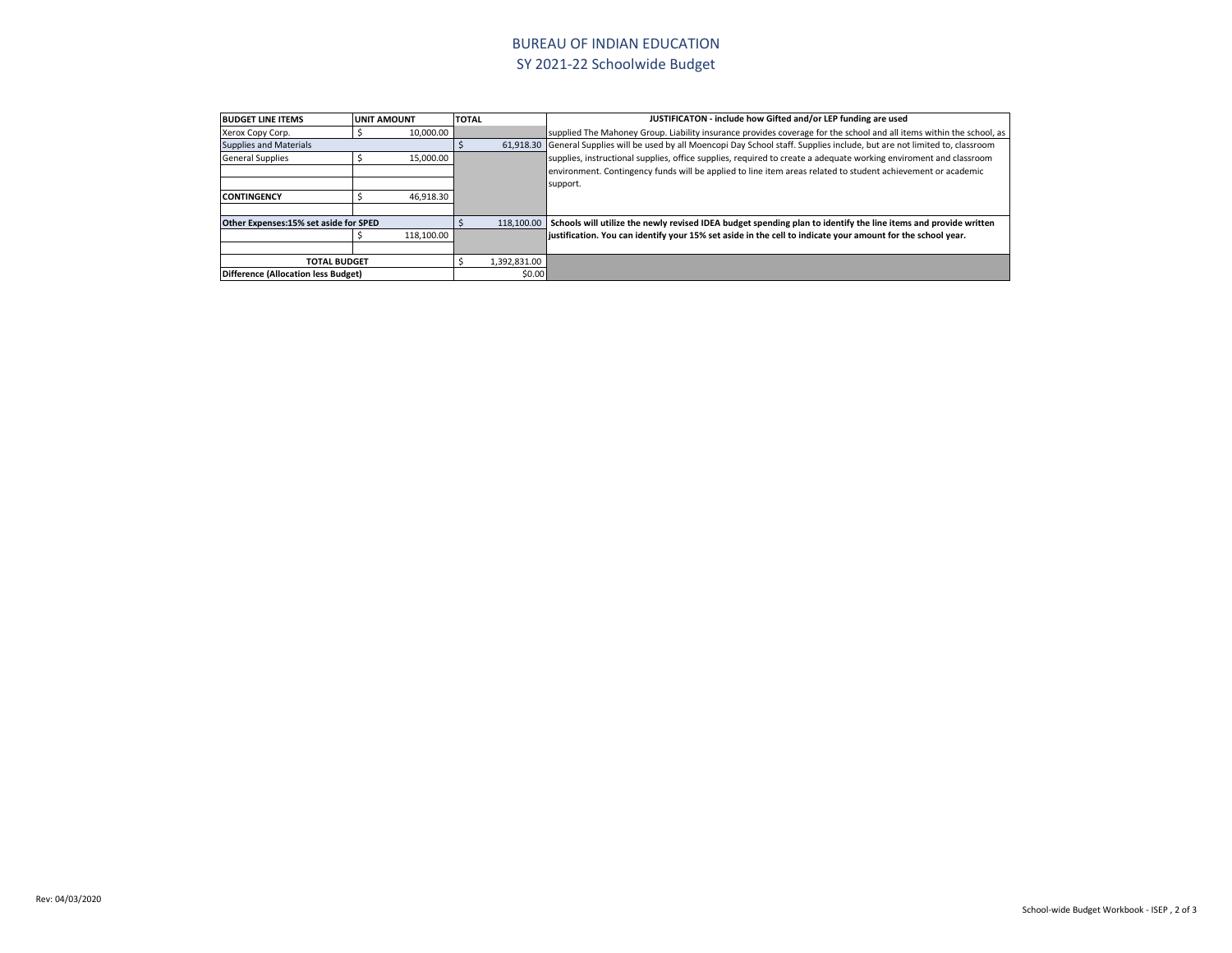## BUREAU OF INDIAN EDUCATION SY 2021-22 Schoolwide Budget technical support requested by IT Technician. Services also include assistance of MDS technology plan. GSA Lease is

| <b>BUDGET LINE ITEMS</b>                      | <b>UNIT AMOUNT</b> |            | <b>TOTAL</b> |            | JUSTIFICATON - include how Gifted and/or LEP funding are used                                                                 |
|-----------------------------------------------|--------------------|------------|--------------|------------|-------------------------------------------------------------------------------------------------------------------------------|
| Xerox Copy Corp.                              |                    | 10.000.00  |              |            | supplied The Mahoney Group. Liability insurance provides coverage for the school and all items within the school, as          |
| <b>Supplies and Materials</b>                 |                    |            |              |            | 61,918.30 General Supplies will be used by all Moencopi Day School staff. Supplies include, but are not limited to, classroom |
| <b>General Supplies</b>                       |                    | 15,000.00  |              |            | supplies, instructional supplies, office supplies, required to create a adequate working enviroment and classroom             |
|                                               |                    |            |              |            | environment. Contingency funds will be applied to line item areas related to student achievement or academic                  |
|                                               |                    |            |              |            | support.                                                                                                                      |
| <b>CONTINGENCY</b>                            |                    | 46,918.30  |              |            |                                                                                                                               |
|                                               |                    |            |              |            |                                                                                                                               |
| Other Expenses:15% set aside for SPED         |                    |            |              | 118,100.00 | Schools will utilize the newly revised IDEA budget spending plan to identify the line items and provide written               |
|                                               |                    | 118,100.00 |              |            | liustification. You can identify your 15% set aside in the cell to indicate your amount for the school year.                  |
|                                               |                    |            |              |            |                                                                                                                               |
| 1,392,831.00<br><b>TOTAL BUDGET</b>           |                    |            |              |            |                                                                                                                               |
| \$0.00<br>Difference (Allocation less Budget) |                    |            |              |            |                                                                                                                               |